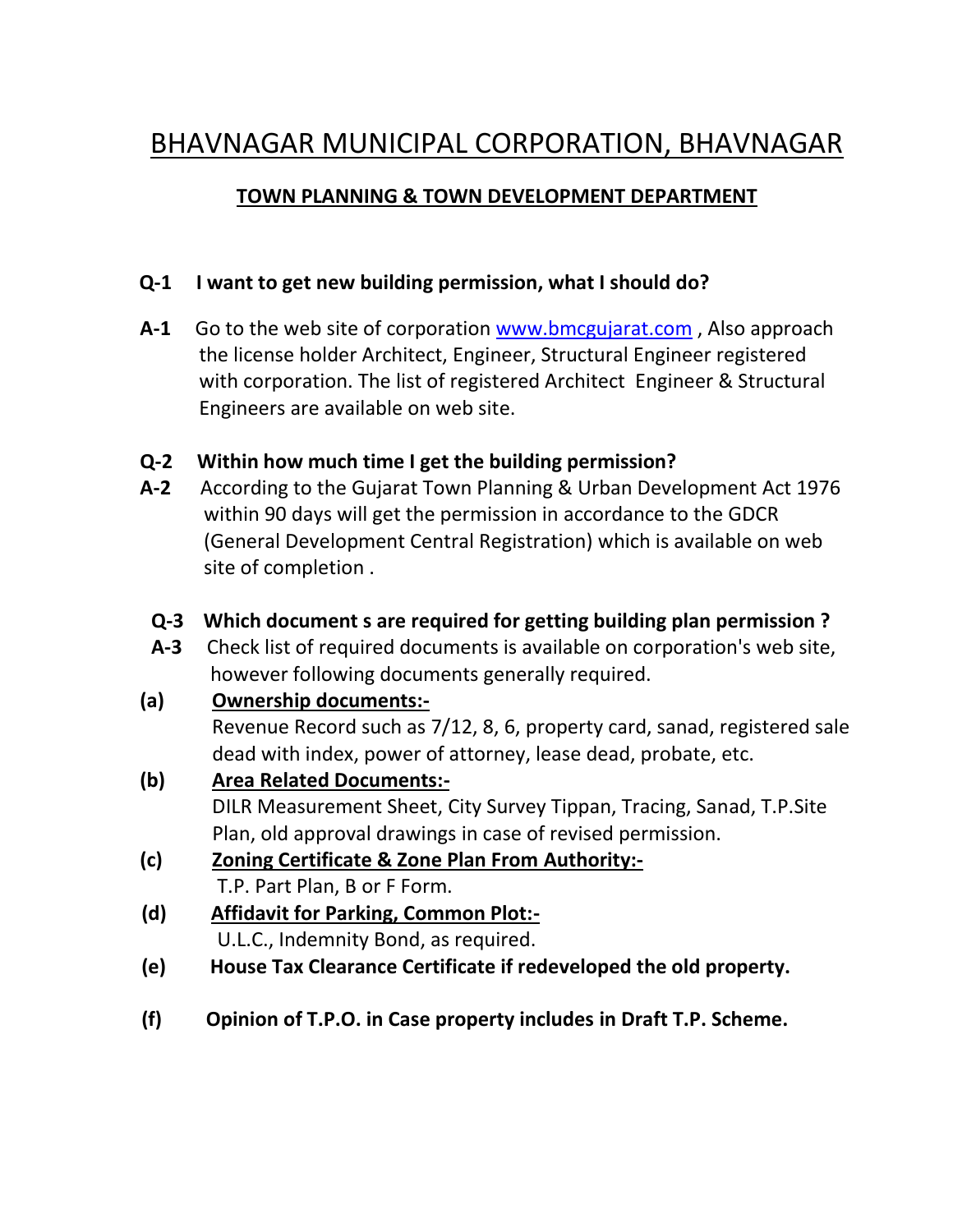# BHAVNAGAR MUNICIPAL CORPORATION, BHAVNAGAR

### **TOWN PLANNING & TOWN DEVELOPMENT DEPARTMENT**

### **Q-1 I want to get new building permission, what I should do?**

**A-1** Go to the web site of corporation www.bmcgujarat.com , Also approach the license holder Architect, Engineer, Structural Engineer registered with corporation. The list of registered Architect Engineer & Structural Engineers are available on web site.

### **Q-2 Within how much time I get the building permission?**

**A-2** According to the Gujarat Town Planning & Urban Development Act 1976 within 90 days will get the permission in accordance to the GDCR (General Development Central Registration) which is available on web site of completion .

### **Q-3 Which document s are required for getting building plan permission ?**

**A-3** Check list of required documents is available on corporation's web site, however following documents generally required.

#### **(a) Ownership documents:-**

Revenue Record such as 7/12, 8, 6, property card, sanad, registered sale dead with index, power of attorney, lease dead, probate, etc.

# **(b) Area Related Documents:-**

DILR Measurement Sheet, City Survey Tippan, Tracing, Sanad, T.P.Site Plan, old approval drawings in case of revised permission.

- **(c) Zoning Certificate & Zone Plan From Authority:-** T.P. Part Plan, B or F Form.
- **(d) Affidavit for Parking, Common Plot:-** U.L.C., Indemnity Bond, as required.
- **(e) House Tax Clearance Certificate if redeveloped the old property.**
- **(f) Opinion of T.P.O. in Case property includes in Draft T.P. Scheme.**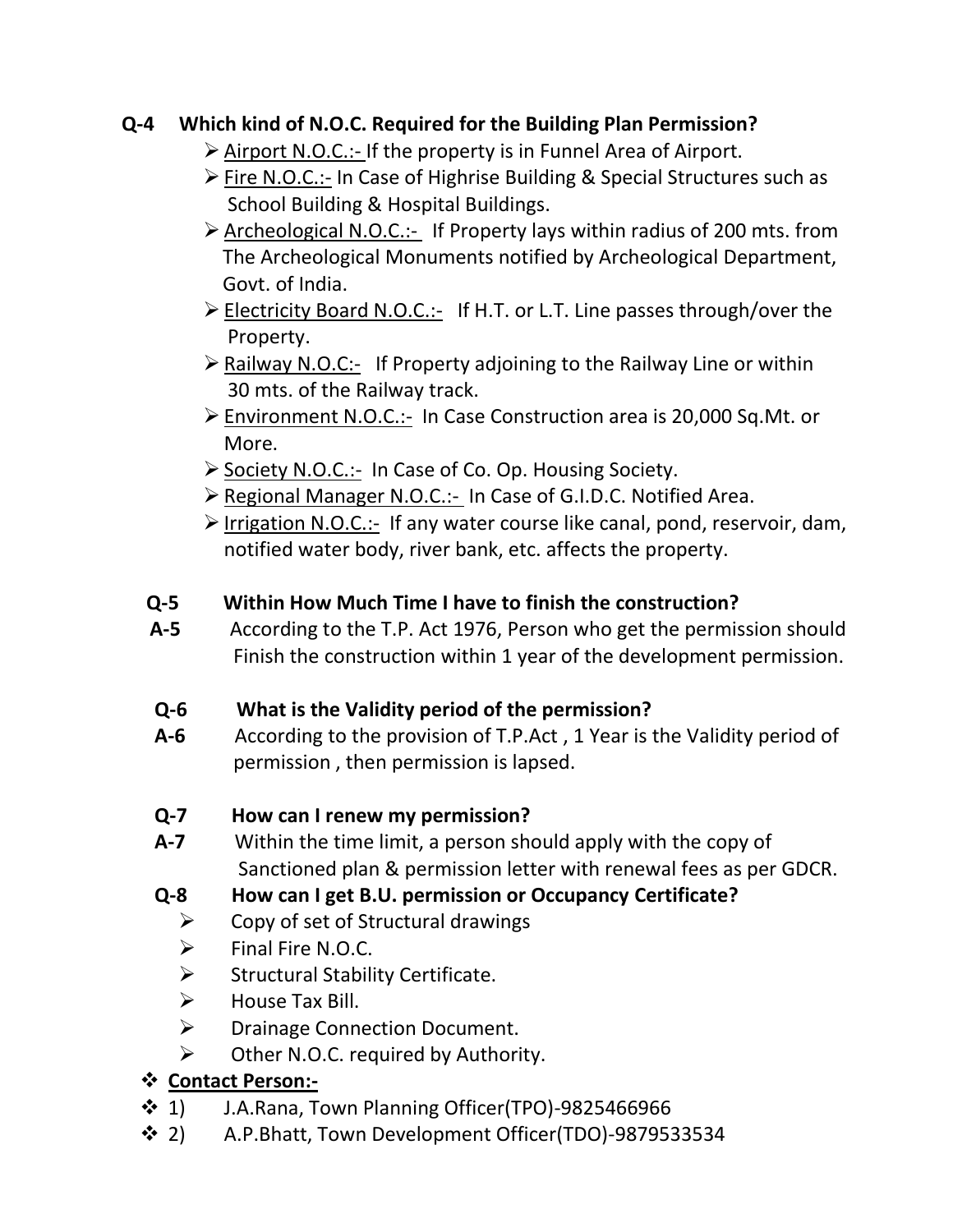## **Q-4 Which kind of N.O.C. Required for the Building Plan Permission?**

- $\triangleright$  Airport N.O.C.:- If the property is in Funnel Area of Airport.
- $\triangleright$  Fire N.O.C.:- In Case of Highrise Building & Special Structures such as School Building & Hospital Buildings.
- $\triangleright$  Archeological N.O.C.:- If Property lays within radius of 200 mts. from The Archeological Monuments notified by Archeological Department, Govt. of India.
- Electricity Board N.O.C.:- If H.T. or L.T. Line passes through/over the Property.
- $\triangleright$  Railway N.O.C:- If Property adjoining to the Railway Line or within 30 mts. of the Railway track.
- ▶ Environment N.O.C.:- In Case Construction area is 20,000 Sq.Mt. or More.
- $\triangleright$  Society N.O.C.:- In Case of Co. Op. Housing Society.
- Regional Manager N.O.C.:- In Case of G.I.D.C. Notified Area.
- $\triangleright$  Irrigation N.O.C.:- If any water course like canal, pond, reservoir, dam, notified water body, river bank, etc. affects the property.

## **Q-5 Within How Much Time I have to finish the construction?**

**A-5** According to the T.P. Act 1976, Person who get the permission should Finish the construction within 1 year of the development permission.

# **Q-6 What is the Validity period of the permission?**

- **A-6** According to the provision of T.P.Act , 1 Year is the Validity period of permission , then permission is lapsed.
- **Q-7 How can I renew my permission?**
- **A-7** Within the time limit, a person should apply with the copy of Sanctioned plan & permission letter with renewal fees as per GDCR.

# **Q-8 How can I get B.U. permission or Occupancy Certificate?**

- $\triangleright$  Copy of set of Structural drawings
- $\triangleright$  Final Fire N.O.C.
- $\triangleright$  Structural Stability Certificate.
- $\triangleright$  House Tax Bill.
- > Drainage Connection Document.
- $\triangleright$  Other N.O.C. required by Authority.

# **Contact Person:-**

- $\div$  1) J.A.Rana, Town Planning Officer(TPO)-9825466966
- 2) A.P.Bhatt, Town Development Officer(TDO)-9879533534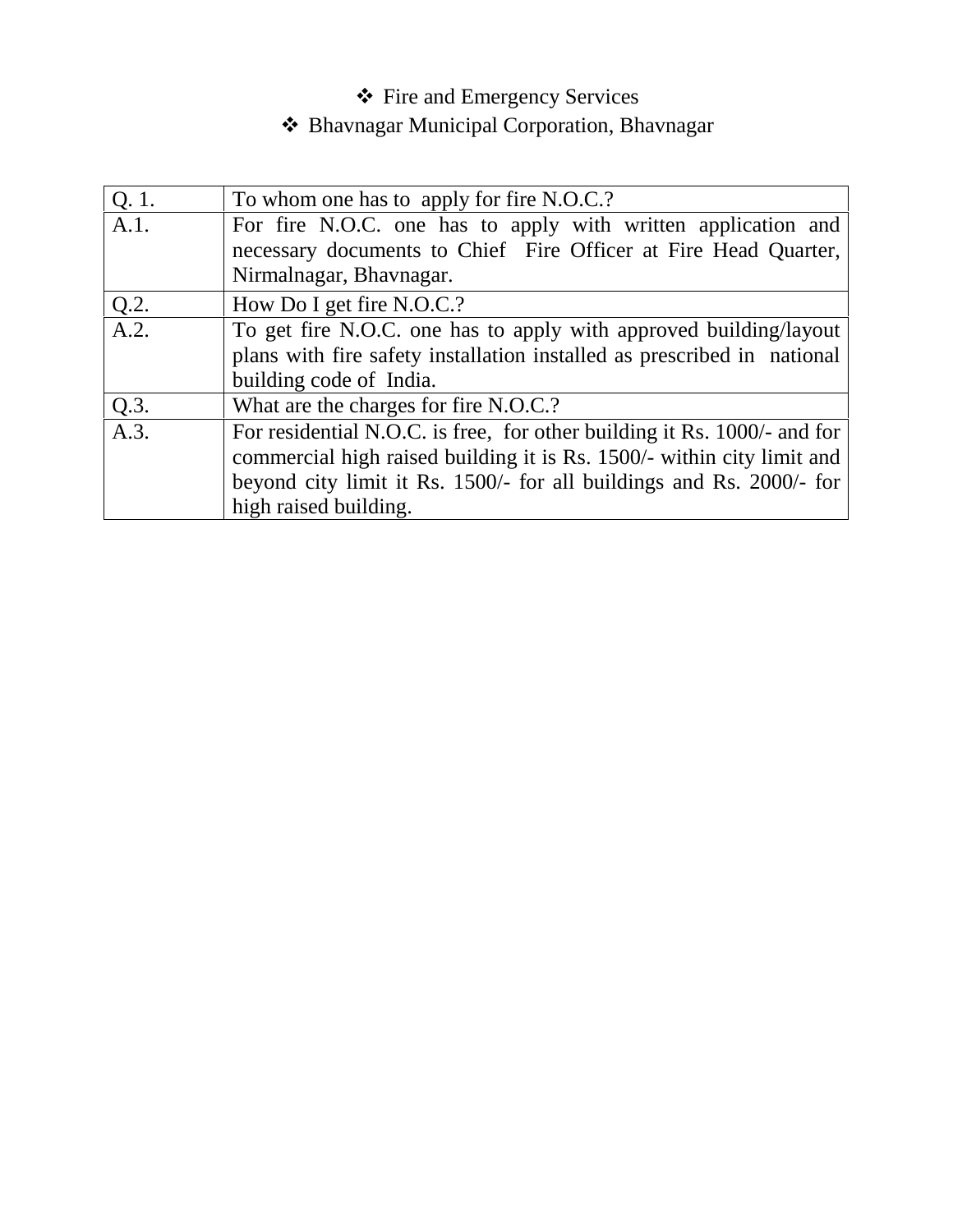# Fire and Emergency Services

# Bhavnagar Municipal Corporation, Bhavnagar

| Q. 1.   | To whom one has to apply for fire N.O.C.?                                |
|---------|--------------------------------------------------------------------------|
| A.1.    | For fire N.O.C. one has to apply with written application and            |
|         | necessary documents to Chief Fire Officer at Fire Head Quarter,          |
|         | Nirmalnagar, Bhavnagar.                                                  |
| $Q.2$ . | How Do I get fire N.O.C.?                                                |
| A.2.    | To get fire N.O.C. one has to apply with approved building/layout        |
|         | plans with fire safety installation installed as prescribed in national  |
|         | building code of India.                                                  |
| Q.3.    | What are the charges for fire N.O.C.?                                    |
| A.3.    | For residential N.O.C. is free, for other building it Rs. 1000/- and for |
|         | commercial high raised building it is Rs. 1500/- within city limit and   |
|         | beyond city limit it Rs. 1500/- for all buildings and Rs. 2000/- for     |
|         | high raised building.                                                    |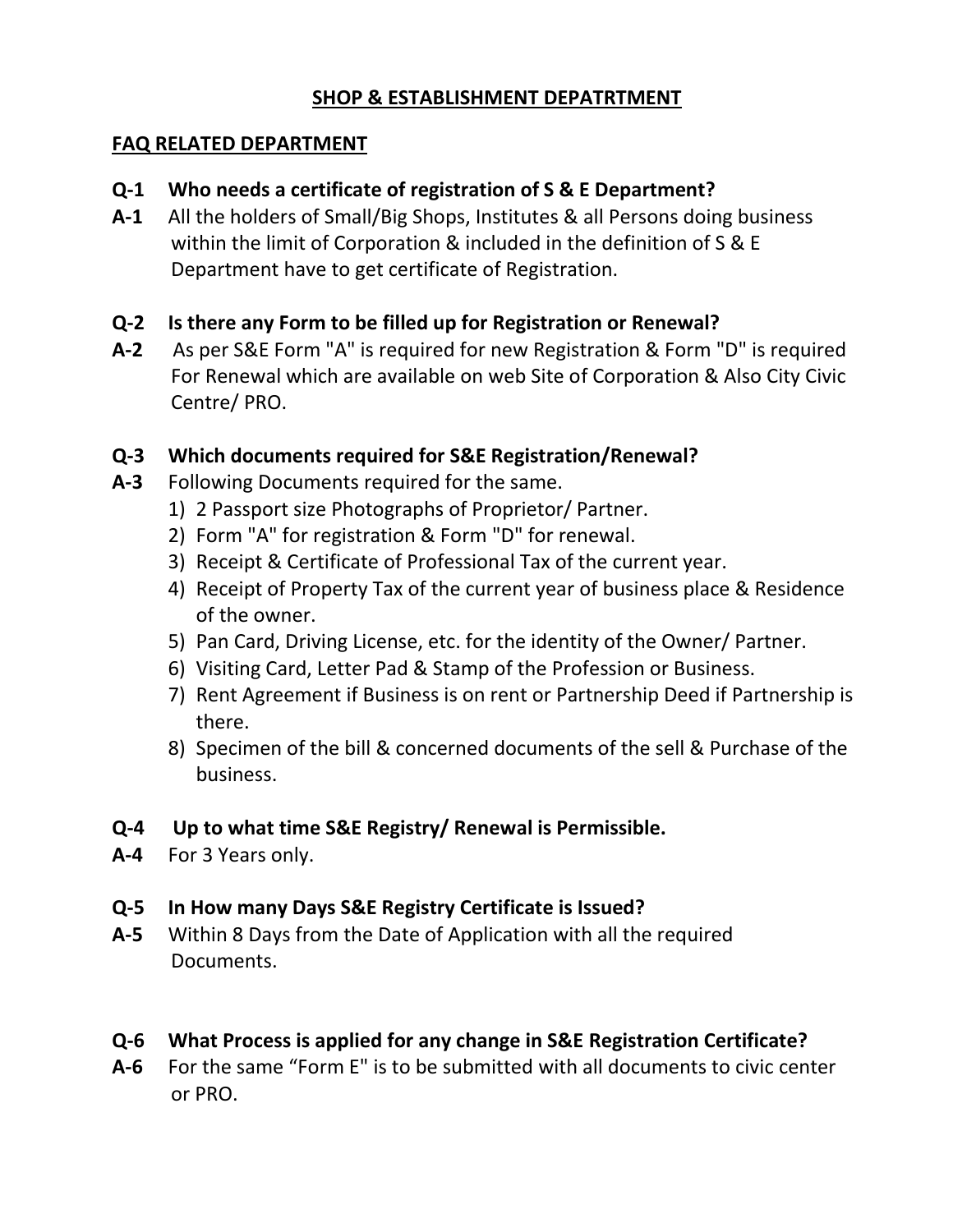### **SHOP & ESTABLISHMENT DEPATRTMENT**

#### **FAQ RELATED DEPARTMENT**

### **Q-1 Who needs a certificate of registration of S & E Department?**

**A-1** All the holders of Small/Big Shops, Institutes & all Persons doing business within the limit of Corporation & included in the definition of S & E Department have to get certificate of Registration.

### **Q-2 Is there any Form to be filled up for Registration or Renewal?**

**A-2** As per S&E Form "A" is required for new Registration & Form "D" is required For Renewal which are available on web Site of Corporation & Also City Civic Centre/ PRO.

### **Q-3 Which documents required for S&E Registration/Renewal?**

- **A-3** Following Documents required for the same.
	- 1) 2 Passport size Photographs of Proprietor/ Partner.
	- 2) Form "A" for registration & Form "D" for renewal.
	- 3) Receipt & Certificate of Professional Tax of the current year.
	- 4) Receipt of Property Tax of the current year of business place & Residence of the owner.
	- 5) Pan Card, Driving License, etc. for the identity of the Owner/ Partner.
	- 6) Visiting Card, Letter Pad & Stamp of the Profession or Business.
	- 7) Rent Agreement if Business is on rent or Partnership Deed if Partnership is there.
	- 8) Specimen of the bill & concerned documents of the sell & Purchase of the business.

### **Q-4 Up to what time S&E Registry/ Renewal is Permissible.**

**A-4** For 3 Years only.

## **Q-5 In How many Days S&E Registry Certificate is Issued?**

**A-5** Within 8 Days from the Date of Application with all the required Documents.

## **Q-6 What Process is applied for any change in S&E Registration Certificate?**

**A-6** For the same "Form E" is to be submitted with all documents to civic center or PRO.